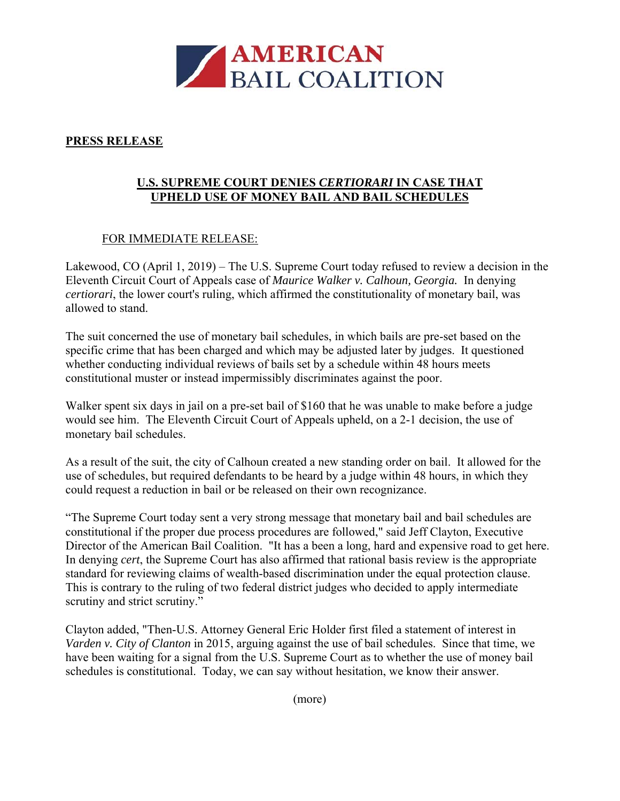

## **PRESS RELEASE**

## **U.S. SUPREME COURT DENIES** *CERTIORARI* **IN CASE THAT UPHELD USE OF MONEY BAIL AND BAIL SCHEDULES**

## FOR IMMEDIATE RELEASE:

Lakewood, CO (April 1, 2019) – The U.S. Supreme Court today refused to review a decision in the Eleventh Circuit Court of Appeals case of *Maurice Walker v. Calhoun, Georgia.* In denying *certiorari*, the lower court's ruling, which affirmed the constitutionality of monetary bail, was allowed to stand.

The suit concerned the use of monetary bail schedules, in which bails are pre-set based on the specific crime that has been charged and which may be adjusted later by judges. It questioned whether conducting individual reviews of bails set by a schedule within 48 hours meets constitutional muster or instead impermissibly discriminates against the poor.

Walker spent six days in jail on a pre-set bail of \$160 that he was unable to make before a judge would see him. The Eleventh Circuit Court of Appeals upheld, on a 2-1 decision, the use of monetary bail schedules.

As a result of the suit, the city of Calhoun created a new standing order on bail. It allowed for the use of schedules, but required defendants to be heard by a judge within 48 hours, in which they could request a reduction in bail or be released on their own recognizance.

"The Supreme Court today sent a very strong message that monetary bail and bail schedules are constitutional if the proper due process procedures are followed," said Jeff Clayton, Executive Director of the American Bail Coalition. "It has a been a long, hard and expensive road to get here. In denying *cert*, the Supreme Court has also affirmed that rational basis review is the appropriate standard for reviewing claims of wealth-based discrimination under the equal protection clause. This is contrary to the ruling of two federal district judges who decided to apply intermediate scrutiny and strict scrutiny."

Clayton added, "Then-U.S. Attorney General Eric Holder first filed a statement of interest in *Varden v. City of Clanton* in 2015, arguing against the use of bail schedules. Since that time, we have been waiting for a signal from the U.S. Supreme Court as to whether the use of money bail schedules is constitutional. Today, we can say without hesitation, we know their answer.

(more)